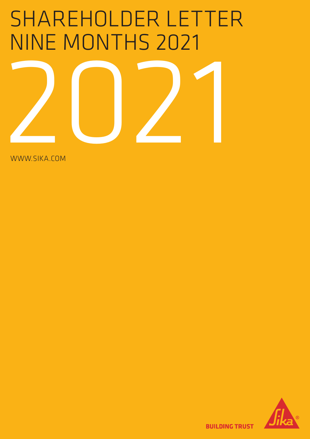# SHAREHOLDER LETTER NINE MONTHS 2021



WWW.SIKA.COM



**BUILDING TRUST**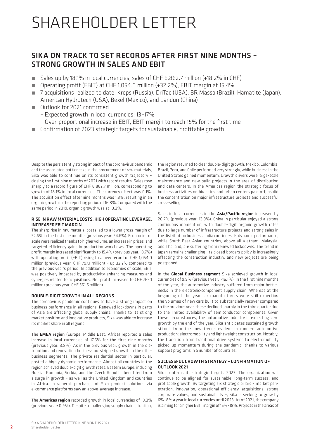# SHAREHOLDER LETTER

# SIKA ON TRACK TO SET RECORDS AFTER FIRST NINE MONTHS – STRONG GROWTH IN SALES AND EBIT

- Sales up by 18.1% in local currencies, sales of CHF 6,862.7 million (+18.2% in CHF)
- Operating profit (EBIT) at CHF 1,054.0 million (+32.2%), EBIT margin at 15.4%
- 7 acquisitions realized to date: Kreps (Russia), DriTac (USA), BR Massa (Brazil), Hamatite (Japan), American Hydrotech (USA), Bexel (Mexico), and Landun (China)
- Outlook for 2021 confirmed
	- Expected growth in local currencies: 13–17%
	- Over-proportional increase in EBIT, EBIT margin to reach 15% for the first time
- Confirmation of 2023 strategic targets for sustainable, profitable growth

Despite the persistently strong impact of the coronavirus pandemic and the associated bottlenecks in the procurement of raw materials, Sika was able to continue on its consistent growth trajectory – closing the first nine months of 2021 with record results. Sales rose sharply to a record figure of CHF 6,862.7 million, corresponding to growth of 18.1% in local currencies. The currency effect was 0.1%. The acquisition effect after nine months was 1.3%, resulting in an organic growth in the reporting period of 16.8%. Compared with the same period in 2019, organic growth was at 10.2%.

#### RISE IN RAW MATERIAL COSTS, HIGH OPERATING LEVERAGE, INCREASED EBIT MARGIN

The sharp rise in raw material costs led to a lower gross margin of 52.6% in the first nine months (previous year: 54.6%). Economies of scale were realized thanks to higher volume, an increase in prices, and targeted efficiency gains in production workflows. The operating profit margin increased significantly to 15.4% (previous year: 13.7%) with operating profit (EBIT) rising to a new record of CHF 1,054.0 million (previous year: CHF 797.1 million) – up 32.2% compared to the previous year's period. In addition to economies of scale, EBIT was positively impacted by productivity-enhancing measures and synergies related to acquisitions. Net profit increased to CHF 765.1 million (previous year: CHF 561.5 million).

#### DOUBLE-DIGIT GROWTH IN ALL REGIONS

The coronavirus pandemic continues to have a strong impact on business performance in all regions. Renewed lockdowns in parts of Asia are affecting global supply chains. Thanks to its strong market position and innovative products, Sika was able to increase its market share in all regions.

The EMEA region (Europe, Middle East, Africa) reported a sales increase in local currencies of 17.6% for the first nine months (previous year: 3.8%). As in the previous year, growth in the distribution and renovation business outstripped growth in the other business segments. The private residential sector in particular, posted a highly dynamic performance. Almost all countries in the region achieved double-digit growth rates. Eastern Europe, including Russia, Romania, Serbia, and the Czech Republic benefited from a surge in growth – as well as the United Kingdom and countries in Africa. In general, purchases of Sika product solutions via e-commerce platforms saw an above-average increase.

The Americas region recorded growth in local currencies of 19.3% (previous year: 0.9%). Despite a challenging supply chain situation, the region returned to clear double-digit growth. Mexico, Colombia, Brazil, Peru, and Chile performed very strongly, while business in the United States gained momentum. Growth drivers were large-scale maintenance and new-build projects in the area of distribution and data centers. In the Americas region the strategic focus of business activities on big cities and urban centers paid off, as did the concentration on major infrastructure projects and successful cross-selling.

Sales in local currencies in the **Asia/Pacific region** increased by 20.7% (previous year: 13.9%). China in particular enjoyed a strong continuous momentum, with double-digit organic growth rates due to large number of infrastructure projects and strong sales in the distribution business. India continues its dynamic performance, while South-East Asian countries, above all Vietnam, Malaysia, and Thailand, are suffering from renewed lockdowns. The trend in Japan remains challenging. Its closed borders policy is increasingly affecting the construction industry, and new projects are being postponed.

In the Global Business segment Sika achieved growth in local currencies of 9.9% (previous year: -16.1%). In the first nine months of the year, the automotive industry suffered from major bottlenecks in the electronic-component supply chain. Whereas at the beginning of the year car manufacturers were still expecting the volumes of new cars built to substancially recover compared to the previous year, these declined sharply in the third quarter due to the limited availability of semiconductor components. Given these circumstances, the automotive industry is expecting zero growth by the end of the year. Sika anticipates sustained growth stimuli from the megatrends evident in modern automotive production: electromobility and lightweight construction. Notably, the transition from traditional drive systems to electromobility picked up momentum during the pandemic, thanks to various support programs in a number of countries.

#### SUCCESSFUL GROWTH STRATEGY – CONFIRMATION OF OUTLOOK 2021

Sika confirms its strategic targets 2023. The organization will continue to be aligned for sustainable, long-term success, and profitable growth. By targeting six strategic pillars – market penetration, innovation, operational efficiency, acquisitions, strong corporate values, and sustainability –, Sika is seeking to grow by 6%–8% a year in local currencies until 2023. As of 2021, the company is aiming for a higher EBIT margin of 15%–18%. Projects in the areas of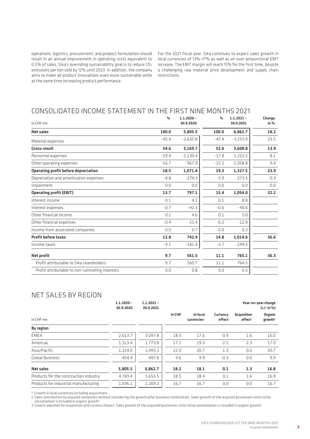operations, logistics, procurement, and product formulation should result in an annual improvement in operating costs equivalent to 0.5% of sales. Sika's overriding sustainability goal is to reduce CO2 emissions per ton sold by 12% until 2023. In addition, the company aims to make all product innovations even more sustainable while at the same time increasing product performance.

For the 2021 fiscal year, Sika continues to expect sales growth in local currencies of 13%–17% as well as an over-proportional EBIT increase. The EBIT margin will reach 15% for the first time, despite a challenging raw material price development and supply chain restrictions.

### CONSOLIDATED INCOME STATEMENT IN THE FIRST NINE MONTHS 2021

| in CHF mn                                        | $\%$    | $1.1.2020 -$<br>30.9.2020 | $\%$    | $1.1.2021 -$<br>30.9.2021 | Change<br>in % |
|--------------------------------------------------|---------|---------------------------|---------|---------------------------|----------------|
| <b>Net sales</b>                                 | 100.0   | 5,805.5                   | 100.0   | 6,862.7                   | 18.2           |
| Material expenses                                | $-45.4$ | $-2,635.8$                | $-47.4$ | $-3,253.9$                | 23.5           |
| <b>Gross result</b>                              | 54.6    | 3,169.7                   | 52.6    | 3,608.8                   | 13.9           |
| Personnel expenses                               | $-19.4$ | $-1.130.4$                | $-17.8$ | $-1,222.5$                | 8.1            |
| Other operating expenses                         | $-16.7$ | $-967.9$                  | $-15.5$ | $-1,058.8$                | 9.4            |
| Operating profit before depreciation             | 18.5    | 1,071.4                   | 19.3    | 1,327.5                   | 23.9           |
| Depreciation and amortization expenses           | $-4.8$  | $-274.3$                  | $-3.9$  | $-273.5$                  | $-0.3$         |
| Impairment                                       | 0.0     | 0.0                       | 0.0     | 0.0                       | 0.0            |
| <b>Operating profit (EBIT)</b>                   | 13.7    | 797.1                     | 15.4    | 1,054.0                   | 32.2           |
| Interest income                                  | 0.1     | 4.2                       | 0.1     | 8.8                       |                |
| Interest expenses                                | $-0.7$  | $-42.3$                   | $-0.6$  | $-40.6$                   |                |
| Other financial income                           | 0.1     | 4.6                       | 0.1     | 5.0                       |                |
| Other financial expenses                         | $-0.4$  | $-21.4$                   | $-0.2$  | $-12.9$                   |                |
| Income from associated companies                 | 0.0     | 0.7                       | 0.0     | 0.3                       |                |
| <b>Profit before taxes</b>                       | 12.8    | 742.9                     | 14.8    | 1,014.6                   | 36.6           |
| Income taxes                                     | $-3.1$  | $-181.4$                  | $-3.7$  | $-249.5$                  |                |
| Net profit                                       | 9.7     | 561.5                     | 11.1    | 765.1                     | 36.3           |
| Profit attributable to Sika shareholders         | 9.7     | 560.7                     | 11.1    | 764.5                     |                |
| Profit attributable to non-controlling interests | 0.0     | 0.8                       | 0.0     | 0.5                       |                |

# NET SALES BY REGION

|                                        | $1.1.2020 -$<br>30.9.2020 | $1.1.2021 -$<br>30.9.2021 | Year-on-year change<br>$(+/- in \%)$ |                                     |                    |                                           |                   |
|----------------------------------------|---------------------------|---------------------------|--------------------------------------|-------------------------------------|--------------------|-------------------------------------------|-------------------|
| in CHF mn                              |                           |                           | In CHF                               | In local<br>currencies <sup>1</sup> | Currency<br>effect | <b>Acquisition</b><br>effect <sup>2</sup> | Organic<br>growth |
| <b>By region</b>                       |                           |                           |                                      |                                     |                    |                                           |                   |
| <b>EMEA</b>                            | 2,613.7                   | 3,097.8                   | 18.5                                 | 17.6                                | 0.9                | 1.6                                       | 16.0              |
| Americas                               | 1,513.4                   | 1,773.8                   | 17.2                                 | 19.3                                | $-2.1$             | 2.3                                       | 17.0              |
| Asia/Pacific                           | 1,224.0                   | 1,493.3                   | 22.0                                 | 20.7                                | 1.3                | 0.0                                       | 20.7              |
| <b>Global Business</b>                 | 454.4                     | 497.8                     | 9.6                                  | 9.9                                 | $-0.3$             | 0.0                                       | 9.9               |
| <b>Net sales</b>                       | 5,805.5                   | 6,862.7                   | 18.2                                 | 18.1                                | 0.1                | 1.3                                       | 16.8              |
| Products for the construction industry | 4,769.4                   | 5,653.5                   | 18.5                                 | 18.4                                | 0.1                | 1.6                                       | 16.8              |
| Products for industrial manufacturing  | 1,036.1                   | 1,209.2                   | 16.7                                 | 16.7                                | 0.0                | 0.0                                       | 16.7              |

1 Growth in local currencies including acquisitions.

2 Sales contribution by acquired companies without considering the growth after business combination. Sales growth of the acquired businesses since initial consolidation is included in organic growth.

3 Growth adjusted for acquisition and currency impact. Sales growth of the acquired businesses since initial consolidation is included in organic growth.

3